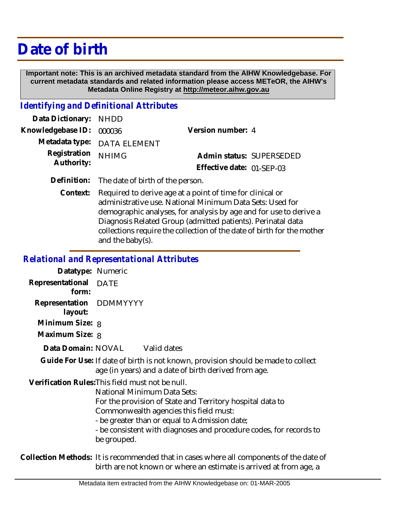# **Date of birth**

 **Important note: This is an archived metadata standard from the AIHW Knowledgebase. For current metadata standards and related information please access METeOR, the AIHW's Metadata Online Registry at http://meteor.aihw.gov.au**

### *Identifying and Definitional Attributes*

| Data Dictionary: NHDD    |                             |                           |  |
|--------------------------|-----------------------------|---------------------------|--|
| Knowledgebase ID: 000036 |                             | Version number: 4         |  |
|                          | Metadata type: DATA ELEMENT |                           |  |
| Registration NHIMG       |                             | Admin status: SUPERSEDED  |  |
| Authority:               |                             | Effective date: 01-SEP-03 |  |
|                          |                             |                           |  |

**Definition:** The date of birth of the person.

Required to derive age at a point of time for clinical or administrative use. National Minimum Data Sets: Used for demographic analyses, for analysis by age and for use to derive a Diagnosis Related Group (admitted patients). Perinatal data collections require the collection of the date of birth for the mother and the baby(s). **Context:**

#### *Relational and Representational Attributes*

| Datatype: Numeric                  |                                                                                                                                                                                                                                                                                                                              |
|------------------------------------|------------------------------------------------------------------------------------------------------------------------------------------------------------------------------------------------------------------------------------------------------------------------------------------------------------------------------|
| Representational DATE<br>form:     |                                                                                                                                                                                                                                                                                                                              |
| Representation DDMMYYYY<br>layout: |                                                                                                                                                                                                                                                                                                                              |
| Minimum Size: 8                    |                                                                                                                                                                                                                                                                                                                              |
| Maximum Size: 8                    |                                                                                                                                                                                                                                                                                                                              |
|                                    | Data Domain: NOVAL Valid dates                                                                                                                                                                                                                                                                                               |
|                                    | Guide For Use: If date of birth is not known, provision should be made to collect<br>age (in years) and a date of birth derived from age.                                                                                                                                                                                    |
|                                    | Verification Rules: This field must not be null.<br>National Minimum Data Sets:<br>For the provision of State and Territory hospital data to<br>Commonwealth agencies this field must:<br>- be greater than or equal to Admission date;<br>- be consistent with diagnoses and procedure codes, for records to<br>be grouped. |

Collection Methods: It is recommended that in cases where all components of the date of birth are not known or where an estimate is arrived at from age, a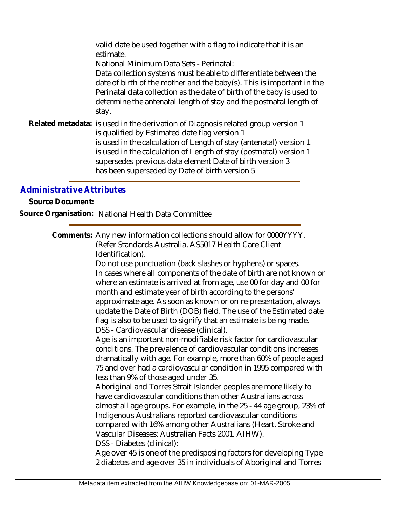valid date be used together with a flag to indicate that it is an estimate.

National Minimum Data Sets - Perinatal:

Data collection systems must be able to differentiate between the date of birth of the mother and the baby(s). This is important in the Perinatal data collection as the date of birth of the baby is used to determine the antenatal length of stay and the postnatal length of stay.

Related metadata: is used in the derivation of Diagnosis related group version 1 is qualified by Estimated date flag version 1 is used in the calculation of Length of stay (antenatal) version 1 is used in the calculation of Length of stay (postnatal) version 1 supersedes previous data element Date of birth version 3 has been superseded by Date of birth version 5

# *Administrative Attributes*

**Source Document:**

**Source Organisation:** National Health Data Committee

Comments: Any new information collections should allow for 0000YYYY. (Refer Standards Australia, AS5017 Health Care Client Identification).

> Do not use punctuation (back slashes or hyphens) or spaces. In cases where all components of the date of birth are not known or where an estimate is arrived at from age, use 00 for day and 00 for month and estimate year of birth according to the persons' approximate age. As soon as known or on re-presentation, always update the Date of Birth (DOB) field. The use of the Estimated date flag is also to be used to signify that an estimate is being made. DSS - Cardiovascular disease (clinical).

> Age is an important non-modifiable risk factor for cardiovascular conditions. The prevalence of cardiovascular conditions increases dramatically with age. For example, more than 60% of people aged 75 and over had a cardiovascular condition in 1995 compared with less than 9% of those aged under 35.

> Aboriginal and Torres Strait Islander peoples are more likely to have cardiovascular conditions than other Australians across almost all age groups. For example, in the 25 - 44 age group, 23% of Indigenous Australians reported cardiovascular conditions compared with 16% among other Australians (Heart, Stroke and Vascular Diseases: Australian Facts 2001. AIHW).

DSS - Diabetes (clinical):

Age over 45 is one of the predisposing factors for developing Type 2 diabetes and age over 35 in individuals of Aboriginal and Torres